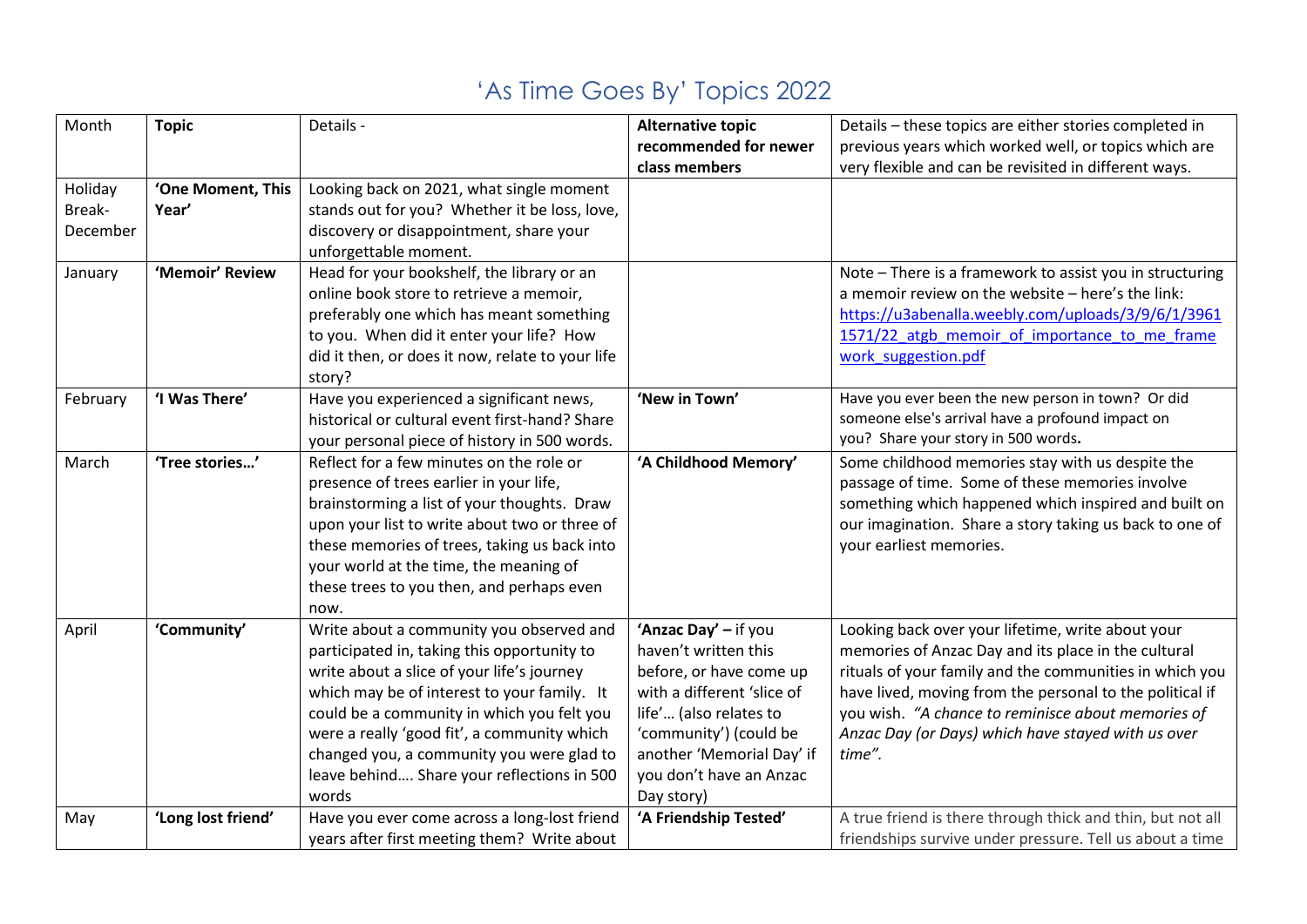| Month    | <b>Topic</b>       | Details -                                        | <b>Alternative topic</b>   | Details - these topics are either stories completed in     |
|----------|--------------------|--------------------------------------------------|----------------------------|------------------------------------------------------------|
|          |                    |                                                  | recommended for newer      | previous years which worked well, or topics which are      |
|          |                    |                                                  | class members              | very flexible and can be revisited in different ways.      |
| Holiday  | 'One Moment, This  | Looking back on 2021, what single moment         |                            |                                                            |
| Break-   | Year'              | stands out for you? Whether it be loss, love,    |                            |                                                            |
| December |                    | discovery or disappointment, share your          |                            |                                                            |
|          |                    | unforgettable moment.                            |                            |                                                            |
| January  | 'Memoir' Review    | Head for your bookshelf, the library or an       |                            | Note - There is a framework to assist you in structuring   |
|          |                    | online book store to retrieve a memoir,          |                            | a memoir review on the website - here's the link:          |
|          |                    | preferably one which has meant something         |                            | https://u3abenalla.weebly.com/uploads/3/9/6/1/3961         |
|          |                    | to you. When did it enter your life? How         |                            | 1571/22 atgb memoir of importance to me frame              |
|          |                    | did it then, or does it now, relate to your life |                            | work suggestion.pdf                                        |
|          |                    | story?                                           |                            |                                                            |
| February | 'I Was There'      | Have you experienced a significant news,         | 'New in Town'              | Have you ever been the new person in town? Or did          |
|          |                    | historical or cultural event first-hand? Share   |                            | someone else's arrival have a profound impact on           |
|          |                    | your personal piece of history in 500 words.     |                            | you? Share your story in 500 words.                        |
| March    | 'Tree stories'     | Reflect for a few minutes on the role or         | 'A Childhood Memory'       | Some childhood memories stay with us despite the           |
|          |                    | presence of trees earlier in your life,          |                            | passage of time. Some of these memories involve            |
|          |                    | brainstorming a list of your thoughts. Draw      |                            | something which happened which inspired and built on       |
|          |                    | upon your list to write about two or three of    |                            | our imagination. Share a story taking us back to one of    |
|          |                    | these memories of trees, taking us back into     |                            | your earliest memories.                                    |
|          |                    | your world at the time, the meaning of           |                            |                                                            |
|          |                    | these trees to you then, and perhaps even        |                            |                                                            |
|          |                    | now.                                             |                            |                                                            |
| April    | 'Community'        | Write about a community you observed and         | 'Anzac Day' - if you       | Looking back over your lifetime, write about your          |
|          |                    | participated in, taking this opportunity to      | haven't written this       | memories of Anzac Day and its place in the cultural        |
|          |                    | write about a slice of your life's journey       | before, or have come up    | rituals of your family and the communities in which you    |
|          |                    | which may be of interest to your family. It      | with a different 'slice of | have lived, moving from the personal to the political if   |
|          |                    | could be a community in which you felt you       | life' (also relates to     | you wish. "A chance to reminisce about memories of         |
|          |                    | were a really 'good fit', a community which      | 'community') (could be     | Anzac Day (or Days) which have stayed with us over         |
|          |                    | changed you, a community you were glad to        | another 'Memorial Day' if  | time".                                                     |
|          |                    | leave behind Share your reflections in 500       | you don't have an Anzac    |                                                            |
|          |                    | words                                            | Day story)                 |                                                            |
| May      | 'Long lost friend' | Have you ever come across a long-lost friend     | 'A Friendship Tested'      | A true friend is there through thick and thin, but not all |
|          |                    | years after first meeting them? Write about      |                            | friendships survive under pressure. Tell us about a time   |

## 'As Time Goes By' Topics 2022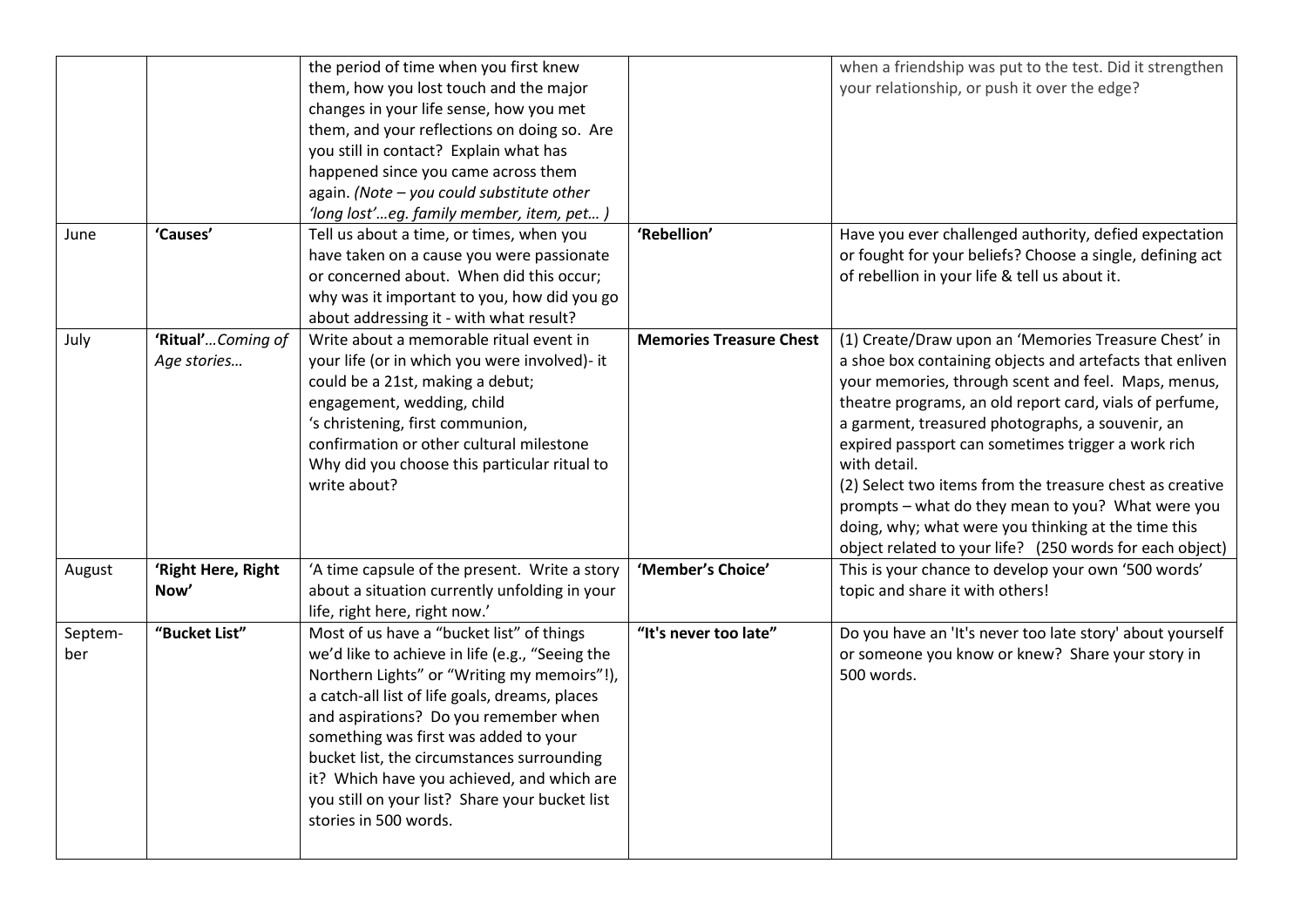|                |                                  | the period of time when you first knew<br>them, how you lost touch and the major<br>changes in your life sense, how you met<br>them, and your reflections on doing so. Are<br>you still in contact? Explain what has<br>happened since you came across them<br>again. (Note - you could substitute other<br>'long lost'eg. family member, item, pet )                                                                                                  |                                | when a friendship was put to the test. Did it strengthen<br>your relationship, or push it over the edge?                                                                                                                                                                                                                                                                                                                                                                                                                                                                                         |
|----------------|----------------------------------|--------------------------------------------------------------------------------------------------------------------------------------------------------------------------------------------------------------------------------------------------------------------------------------------------------------------------------------------------------------------------------------------------------------------------------------------------------|--------------------------------|--------------------------------------------------------------------------------------------------------------------------------------------------------------------------------------------------------------------------------------------------------------------------------------------------------------------------------------------------------------------------------------------------------------------------------------------------------------------------------------------------------------------------------------------------------------------------------------------------|
| June           | 'Causes'                         | Tell us about a time, or times, when you<br>have taken on a cause you were passionate<br>or concerned about. When did this occur;<br>why was it important to you, how did you go<br>about addressing it - with what result?                                                                                                                                                                                                                            | 'Rebellion'                    | Have you ever challenged authority, defied expectation<br>or fought for your beliefs? Choose a single, defining act<br>of rebellion in your life & tell us about it.                                                                                                                                                                                                                                                                                                                                                                                                                             |
| July           | 'Ritual'Coming of<br>Age stories | Write about a memorable ritual event in<br>your life (or in which you were involved)- it<br>could be a 21st, making a debut;<br>engagement, wedding, child<br>'s christening, first communion,<br>confirmation or other cultural milestone<br>Why did you choose this particular ritual to<br>write about?                                                                                                                                             | <b>Memories Treasure Chest</b> | (1) Create/Draw upon an 'Memories Treasure Chest' in<br>a shoe box containing objects and artefacts that enliven<br>your memories, through scent and feel. Maps, menus,<br>theatre programs, an old report card, vials of perfume,<br>a garment, treasured photographs, a souvenir, an<br>expired passport can sometimes trigger a work rich<br>with detail.<br>(2) Select two items from the treasure chest as creative<br>prompts - what do they mean to you? What were you<br>doing, why; what were you thinking at the time this<br>object related to your life? (250 words for each object) |
| August         | 'Right Here, Right<br>Now'       | 'A time capsule of the present. Write a story<br>about a situation currently unfolding in your<br>life, right here, right now.'                                                                                                                                                                                                                                                                                                                        | 'Member's Choice'              | This is your chance to develop your own '500 words'<br>topic and share it with others!                                                                                                                                                                                                                                                                                                                                                                                                                                                                                                           |
| Septem-<br>ber | "Bucket List"                    | Most of us have a "bucket list" of things<br>we'd like to achieve in life (e.g., "Seeing the<br>Northern Lights" or "Writing my memoirs"!),<br>a catch-all list of life goals, dreams, places<br>and aspirations? Do you remember when<br>something was first was added to your<br>bucket list, the circumstances surrounding<br>it? Which have you achieved, and which are<br>you still on your list? Share your bucket list<br>stories in 500 words. | "It's never too late"          | Do you have an 'It's never too late story' about yourself<br>or someone you know or knew? Share your story in<br>500 words.                                                                                                                                                                                                                                                                                                                                                                                                                                                                      |